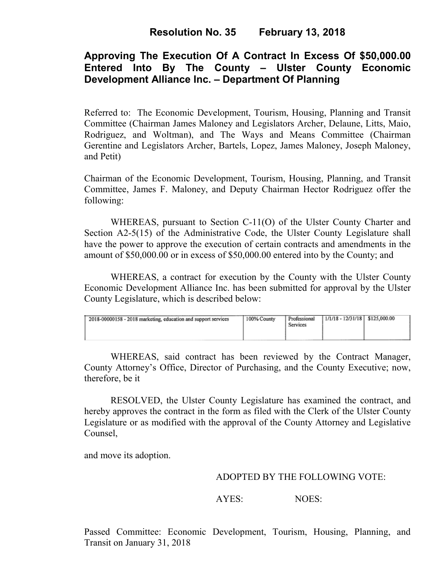# **Resolution No. 35 February 13, 2018**

## **Approving The Execution Of A Contract In Excess Of \$50,000.00 Entered Into By The County – Ulster County Economic Development Alliance Inc. – Department Of Planning**

Referred to: The Economic Development, Tourism, Housing, Planning and Transit Committee (Chairman James Maloney and Legislators Archer, Delaune, Litts, Maio, Rodriguez, and Woltman), and The Ways and Means Committee (Chairman Gerentine and Legislators Archer, Bartels, Lopez, James Maloney, Joseph Maloney, and Petit)

Chairman of the Economic Development, Tourism, Housing, Planning, and Transit Committee, James F. Maloney, and Deputy Chairman Hector Rodriguez offer the following:

WHEREAS, pursuant to Section C-11(O) of the Ulster County Charter and Section A2-5(15) of the Administrative Code, the Ulster County Legislature shall have the power to approve the execution of certain contracts and amendments in the amount of \$50,000.00 or in excess of \$50,000.00 entered into by the County; and

 WHEREAS, a contract for execution by the County with the Ulster County Economic Development Alliance Inc. has been submitted for approval by the Ulster County Legislature, which is described below:

| 2018-00000158 - 2018 marketing, education and support services | 100% County | Professional<br>Services | $1/1/18 - 12/31/18$ \$125,000.00 |  |  |
|----------------------------------------------------------------|-------------|--------------------------|----------------------------------|--|--|
|----------------------------------------------------------------|-------------|--------------------------|----------------------------------|--|--|

WHEREAS, said contract has been reviewed by the Contract Manager, County Attorney's Office, Director of Purchasing, and the County Executive; now, therefore, be it

RESOLVED, the Ulster County Legislature has examined the contract, and hereby approves the contract in the form as filed with the Clerk of the Ulster County Legislature or as modified with the approval of the County Attorney and Legislative Counsel,

and move its adoption.

#### ADOPTED BY THE FOLLOWING VOTE:

AYES: NOES:

Passed Committee: Economic Development, Tourism, Housing, Planning, and Transit on January 31, 2018